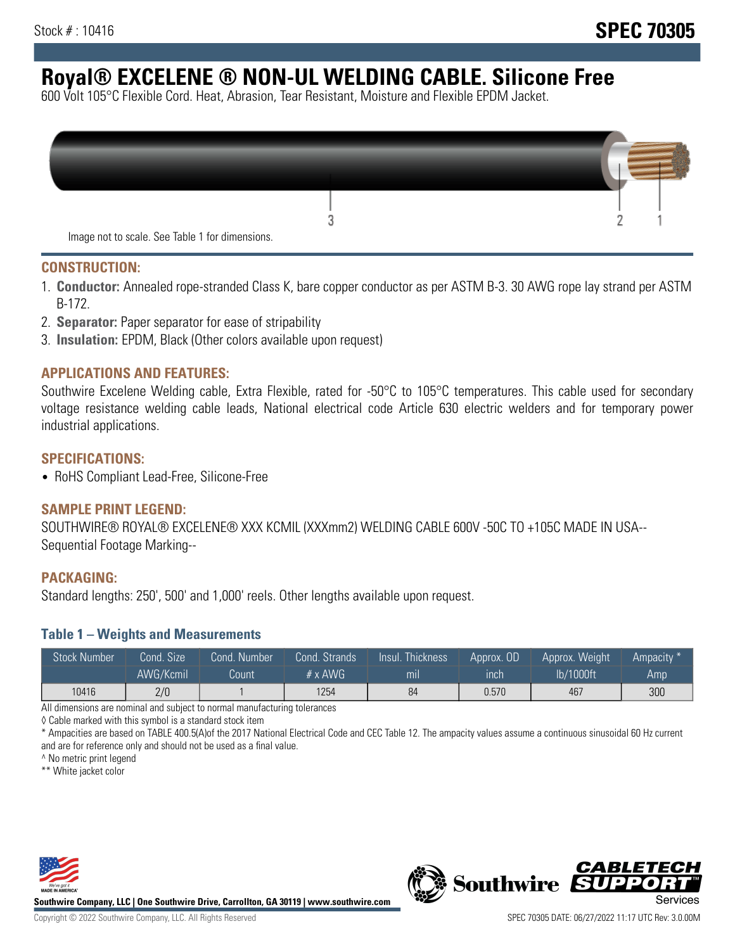# **Royal® EXCELENE ® NON-UL WELDING CABLE. Silicone Free**

600 Volt 105°C Flexible Cord. Heat, Abrasion, Tear Resistant, Moisture and Flexible EPDM Jacket.

| Image not to scale. See Table 1 for dimensions. |  |
|-------------------------------------------------|--|

#### **CONSTRUCTION:**

- 1. **Conductor:** Annealed rope-stranded Class K, bare copper conductor as per ASTM B-3. 30 AWG rope lay strand per ASTM B-172.
- 2. **Separator:** Paper separator for ease of stripability
- 3. **Insulation:** EPDM, Black (Other colors available upon request)

### **APPLICATIONS AND FEATURES:**

Southwire Excelene Welding cable, Extra Flexible, rated for -50°C to 105°C temperatures. This cable used for secondary voltage resistance welding cable leads, National electrical code Article 630 electric welders and for temporary power industrial applications.

#### **SPECIFICATIONS:**

• RoHS Compliant Lead-Free, Silicone-Free

#### **SAMPLE PRINT LEGEND:**

SOUTHWIRE® ROYAL® EXCELENE® XXX KCMIL (XXXmm2) WELDING CABLE 600V -50C TO +105C MADE IN USA-- Sequential Footage Marking--

#### **PACKAGING:**

Standard lengths: 250', 500' and 1,000' reels. Other lengths available upon request.

#### **Table 1 – Weights and Measurements**

| <b>Stock Number</b> | Cond. Size' | Cond. Number | Cond. Strands  | Insul. Thickness | Approx. OD | Approx. Weight | Ampacity * |
|---------------------|-------------|--------------|----------------|------------------|------------|----------------|------------|
|                     | AWG/Kcmil   | Count        | $# \times$ AWG | m <sub>l</sub>   | inch       | lb/1000ft      | Amp        |
| 10416               | 2/0         |              | 1254           | 84               | 0.570      | 467            | 300        |

All dimensions are nominal and subject to normal manufacturing tolerances

◊ Cable marked with this symbol is a standard stock item

\* Ampacities are based on TABLE 400.5(A)of the 2017 National Electrical Code and CEC Table 12. The ampacity values assume a continuous sinusoidal 60 Hz current and are for reference only and should not be used as a final value.

^ No metric print legend

\*\* White jacket color



**Southwire Company, LLC | One Southwire Drive, Carrollton, GA 30119 | www.southwire.com**